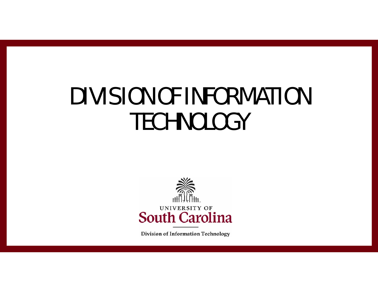# DIVISION OF INFORMATION **TECHNOLOGY**



**Division of Information Technology**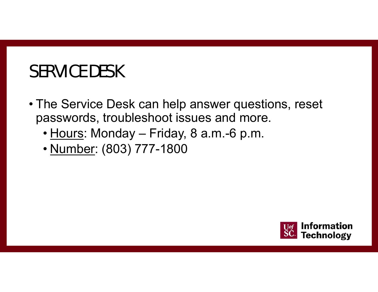## SERVICE DESK

- The Service Desk can help answer questions, reset passwords, troubleshoot issues and more.
	- <u>Hours</u>: Monday Friday, 8 a.m.-6 p.m.
	- <u>Number</u>: (803) 777-1800

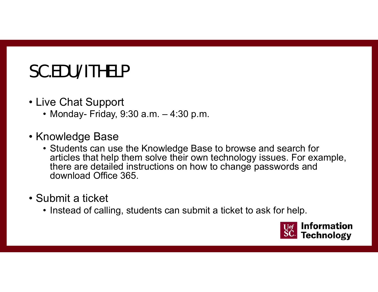## SC.EDU/ITHELP

- Live Chat Support
	- Monday- Friday, 9:30 a.m. 4:30 p.m.
- Knowledge Base
	- Students can use the Knowledge Base to browse and search for articles that help them solve their own technology issues. For example, there are detailed instructions on how to change passwords and download Office 365.
- Submit a ticket
	- Instead of calling, students can submit a ticket to ask for help.

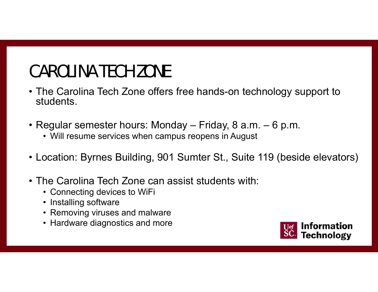## CAROLINA TECH ZONE

- The Carolina Tech Zone offers free hands-on technology support to students.
- Regular semester hours: Monday Friday, 8 a.m. 6 p.m.
	- Will resume services when campus reopens in August
- Location: Byrnes Building, 901 Sumter St., Suite 119 (beside elevators)
- The Carolina Tech Zone can assist students with:
	- Connecting devices to WiFi
	- Installing software
	- Removing viruses and malware
	- Hardware diagnostics and more

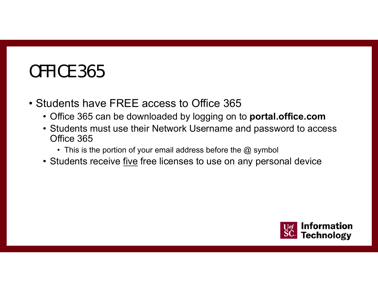#### OFFICE 365

- Students have FREE access to Office 365
	- Office 365 can be downloaded by logging on to **portal.office.com**
	- Students must use their Network Username and password to access Office 365
		- This is the portion of your email address before the  $@$  symbol
	- Students receive <u>five</u> free licenses to use on any personal device

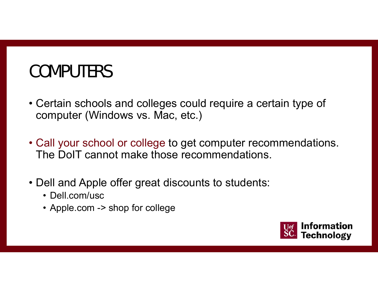#### **COMPUTERS**

- Certain schools and colleges could require a certain type of computer (Windows vs. Mac, etc.)
- Call your school or college to get computer recommendations. The DoIT cannot make those recommendations.
- Dell and Apple offer great discounts to students:
	- Dell.com/usc
	- Apple.com -> shop for college

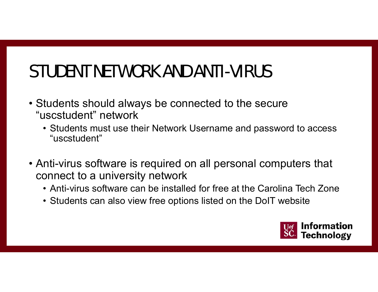## STUDENT NETWORK AND ANTI-VIRUS

- Students should always be connected to the secure "uscstudent" network
	- Students must use their Network Username and password to access "uscstudent"
- Anti-virus software is required on all personal computers that connect to a university network
	- Anti-virus software can be installed for free at the Carolina Tech Zone
	- Students can also view free options listed on the DoIT website

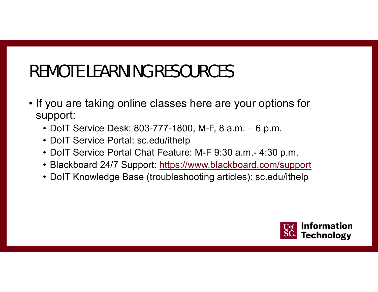## REMOTE LEARNING RESOURCES

- If you are taking online classes here are your options for support:
	- DoIT Service Desk: 803-777-1800, M-F, 8 a.m. 6 p.m.
	- DoIT Service Portal: sc.edu/ithelp
	- DoIT Service Portal Chat Feature: M-F 9:30 a.m.- 4:30 p.m.
	- Blackboard 24/7 Support: https://www.blackboard.com/support
	- DoIT Knowledge Base (troubleshooting articles): sc.edu/ithelp